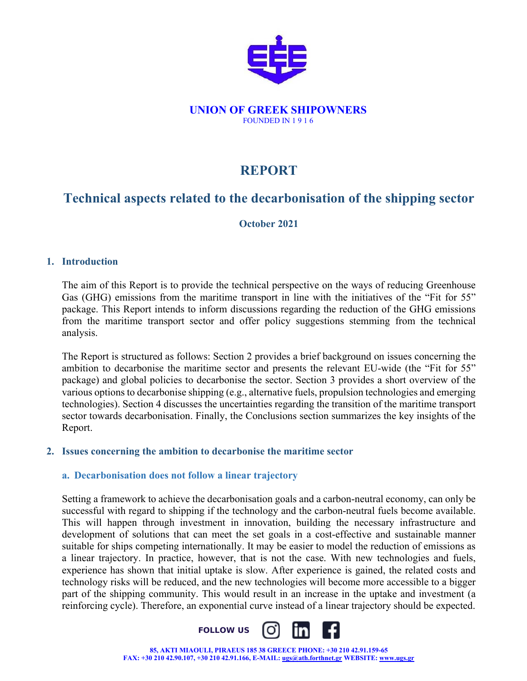

#### **UNION OF GREEK SHIPOWNERS**  FOUNDED IN 1 9 1 6

# **REPORT**

# **Technical aspects related to the decarbonisation of the shipping sector**

## **October 2021**

## **1. Introduction**

The aim of this Report is to provide the technical perspective on the ways of reducing Greenhouse Gas (GHG) emissions from the maritime transport in line with the initiatives of the "Fit for 55" package. This Report intends to inform discussions regarding the reduction of the GHG emissions from the maritime transport sector and offer policy suggestions stemming from the technical analysis.

The Report is structured as follows: Section 2 provides a brief background on issues concerning the ambition to decarbonise the maritime sector and presents the relevant EU-wide (the "Fit for 55" package) and global policies to decarbonise the sector. Section 3 provides a short overview of the various options to decarbonise shipping (e.g., alternative fuels, propulsion technologies and emerging technologies). Section 4 discusses the uncertainties regarding the transition of the maritime transport sector towards decarbonisation. Finally, the Conclusions section summarizes the key insights of the Report.

#### **2. Issues concerning the ambition to decarbonise the maritime sector**

## **a. Decarbonisation does not follow a linear trajectory**

Setting a framework to achieve the decarbonisation goals and a carbon-neutral economy, can only be successful with regard to shipping if the technology and the carbon-neutral fuels become available. This will happen through investment in innovation, building the necessary infrastructure and development of solutions that can meet the set goals in a cost-effective and sustainable manner suitable for ships competing internationally. It may be easier to model the reduction of emissions as a linear trajectory. In practice, however, that is not the case. With new technologies and fuels, experience has shown that initial uptake is slow. After experience is gained, the related costs and technology risks will be reduced, and the new technologies will become more accessible to a bigger part of the shipping community. This would result in an increase in the uptake and investment (a reinforcing cycle). Therefore, an exponential curve instead of a linear trajectory should be expected.



**85, AKTI MIAOULI, PIRAEUS 185 38 GREECE PHONE: +30 210 42.91.159-65 FAX: +30 210 42.90.107, +30 210 42.91.166, E-MAIL: ugs@ath.forthnet.gr WEBSITE: www.ugs.gr**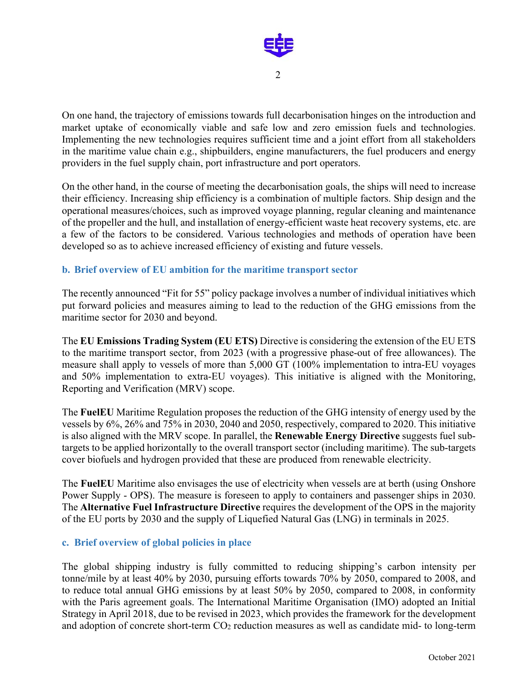

On one hand, the trajectory of emissions towards full decarbonisation hinges on the introduction and market uptake of economically viable and safe low and zero emission fuels and technologies. Implementing the new technologies requires sufficient time and a joint effort from all stakeholders in the maritime value chain e.g., shipbuilders, engine manufacturers, the fuel producers and energy providers in the fuel supply chain, port infrastructure and port operators.

On the other hand, in the course of meeting the decarbonisation goals, the ships will need to increase their efficiency. Increasing ship efficiency is a combination of multiple factors. Ship design and the operational measures/choices, such as improved voyage planning, regular cleaning and maintenance of the propeller and the hull, and installation of energy-efficient waste heat recovery systems, etc. are a few of the factors to be considered. Various technologies and methods of operation have been developed so as to achieve increased efficiency of existing and future vessels.

#### **b. Brief overview of EU ambition for the maritime transport sector**

The recently announced "Fit for 55" policy package involves a number of individual initiatives which put forward policies and measures aiming to lead to the reduction of the GHG emissions from the maritime sector for 2030 and beyond.

The **EU Emissions Trading System (EU ETS)** Directive is considering the extension of the EU ETS to the maritime transport sector, from 2023 (with a progressive phase-out of free allowances). The measure shall apply to vessels of more than 5,000 GT (100% implementation to intra-EU voyages and 50% implementation to extra-EU voyages). This initiative is aligned with the Monitoring, Reporting and Verification (MRV) scope.

The **FuelEU** Maritime Regulation proposes the reduction of the GHG intensity of energy used by the vessels by 6%, 26% and 75% in 2030, 2040 and 2050, respectively, compared to 2020. This initiative is also aligned with the MRV scope. In parallel, the **Renewable Energy Directive** suggests fuel subtargets to be applied horizontally to the overall transport sector (including maritime). The sub-targets cover biofuels and hydrogen provided that these are produced from renewable electricity.

The **FuelEU** Maritime also envisages the use of electricity when vessels are at berth (using Onshore Power Supply - OPS). The measure is foreseen to apply to containers and passenger ships in 2030. The **Alternative Fuel Infrastructure Directive** requires the development of the OPS in the majority of the EU ports by 2030 and the supply of Liquefied Natural Gas (LNG) in terminals in 2025.

#### **c. Brief overview of global policies in place**

The global shipping industry is fully committed to reducing shipping's carbon intensity per tonne/mile by at least 40% by 2030, pursuing efforts towards 70% by 2050, compared to 2008, and to reduce total annual GHG emissions by at least 50% by 2050, compared to 2008, in conformity with the Paris agreement goals. The International Maritime Organisation (IMO) adopted an Initial Strategy in April 2018, due to be revised in 2023, which provides the framework for the development and adoption of concrete short-term CO2 reduction measures as well as candidate mid- to long-term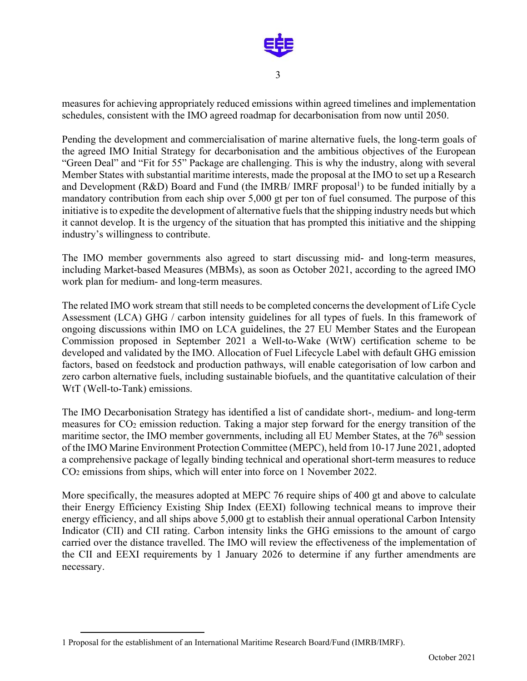

measures for achieving appropriately reduced emissions within agreed timelines and implementation schedules, consistent with the IMO agreed roadmap for decarbonisation from now until 2050.

Pending the development and commercialisation of marine alternative fuels, the long-term goals of the agreed IMO Initial Strategy for decarbonisation and the ambitious objectives of the European "Green Deal" and "Fit for 55" Package are challenging. This is why the industry, along with several Member States with substantial maritime interests, made the proposal at the IMO to set up a Research and Development ( $R&D$ ) Board and Fund (the IMRB/ IMRF proposal<sup>1</sup>) to be funded initially by a mandatory contribution from each ship over 5,000 gt per ton of fuel consumed. The purpose of this initiative is to expedite the development of alternative fuels that the shipping industry needs but which it cannot develop. It is the urgency of the situation that has prompted this initiative and the shipping industry's willingness to contribute.

The IMO member governments also agreed to start discussing mid- and long-term measures, including Market-based Measures (MBMs), as soon as October 2021, according to the agreed IMO work plan for medium- and long-term measures.

The related IMO work stream that still needs to be completed concerns the development of Life Cycle Assessment (LCA) GHG / carbon intensity guidelines for all types of fuels. In this framework of ongoing discussions within IMO on LCA guidelines, the 27 EU Member States and the European Commission proposed in September 2021 a Well-to-Wake (WtW) certification scheme to be developed and validated by the IMO. Allocation of Fuel Lifecycle Label with default GHG emission factors, based on feedstock and production pathways, will enable categorisation of low carbon and zero carbon alternative fuels, including sustainable biofuels, and the quantitative calculation of their WtT (Well-to-Tank) emissions.

The IMO Decarbonisation Strategy has identified a list of candidate short-, medium- and long-term measures for CO2 emission reduction. Taking a major step forward for the energy transition of the maritime sector, the IMO member governments, including all EU Member States, at the 76<sup>th</sup> session of the IMO Marine Environment Protection Committee (MEPC), held from 10-17 June 2021, adopted a comprehensive package of legally binding technical and operational short-term measures to reduce CO2 emissions from ships, which will enter into force on 1 November 2022.

More specifically, the measures adopted at MEPC 76 require ships of 400 gt and above to calculate their Energy Efficiency Existing Ship Index (EEXI) following technical means to improve their energy efficiency, and all ships above 5,000 gt to establish their annual operational Carbon Intensity Indicator (CII) and CII rating. Carbon intensity links the GHG emissions to the amount of cargo carried over the distance travelled. The IMO will review the effectiveness of the implementation of the CII and EEXI requirements by 1 January 2026 to determine if any further amendments are necessary.

<sup>1</sup> Proposal for the establishment of an International Maritime Research Board/Fund (IMRB/IMRF).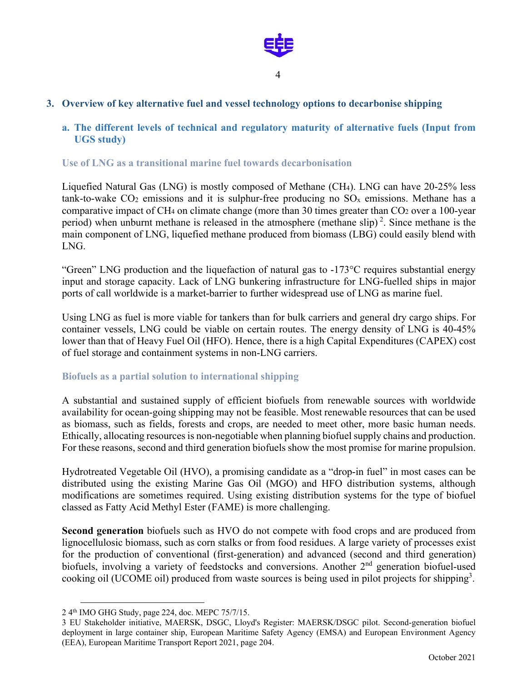

## **3. Overview of key alternative fuel and vessel technology options to decarbonise shipping**

## **a. The different levels of technical and regulatory maturity of alternative fuels (Input from UGS study)**

## **Use of LNG as a transitional marine fuel towards decarbonisation**

Liquefied Natural Gas (LNG) is mostly composed of Methane (CH4). LNG can have 20-25% less tank-to-wake  $CO_2$  emissions and it is sulphur-free producing no  $SO_x$  emissions. Methane has a comparative impact of CH<sub>4</sub> on climate change (more than 30 times greater than CO<sub>2</sub> over a 100-year period) when unburnt methane is released in the atmosphere (methane slip)<sup>2</sup>. Since methane is the main component of LNG, liquefied methane produced from biomass (LBG) could easily blend with LNG.

"Green" LNG production and the liquefaction of natural gas to -173°C requires substantial energy input and storage capacity. Lack of LNG bunkering infrastructure for LNG-fuelled ships in major ports of call worldwide is a market-barrier to further widespread use of LNG as marine fuel.

Using LNG as fuel is more viable for tankers than for bulk carriers and general dry cargo ships. For container vessels, LNG could be viable on certain routes. The energy density of LNG is 40-45% lower than that of Heavy Fuel Oil (HFO). Hence, there is a high Capital Expenditures (CAPEX) cost of fuel storage and containment systems in non-LNG carriers.

## **Biofuels as a partial solution to international shipping**

A substantial and sustained supply of efficient biofuels from renewable sources with worldwide availability for ocean-going shipping may not be feasible. Most renewable resources that can be used as biomass, such as fields, forests and crops, are needed to meet other, more basic human needs. Ethically, allocating resources is non-negotiable when planning biofuel supply chains and production. For these reasons, second and third generation biofuels show the most promise for marine propulsion.

Hydrotreated Vegetable Oil (HVO), a promising candidate as a "drop-in fuel" in most cases can be distributed using the existing Marine Gas Oil (MGO) and HFO distribution systems, although modifications are sometimes required. Using existing distribution systems for the type of biofuel classed as Fatty Acid Methyl Ester (FAME) is more challenging.

**Second generation** biofuels such as HVO do not compete with food crops and are produced from lignocellulosic biomass, such as corn stalks or from food residues. A large variety of processes exist for the production of conventional (first-generation) and advanced (second and third generation) biofuels, involving a variety of feedstocks and conversions. Another 2<sup>nd</sup> generation biofuel-used cooking oil (UCOME oil) produced from waste sources is being used in pilot projects for shipping<sup>3</sup>.

<sup>2 4</sup>th IMO GHG Study, page 224, doc. MEPC 75/7/15.

<sup>3</sup> EU Stakeholder initiative, MAERSK, DSGC, Lloyd's Register: MAERSK/DSGC pilot. Second-generation biofuel deployment in large container ship, European Maritime Safety Agency (EMSA) and European Environment Agency (EEA), European Maritime Transport Report 2021, page 204.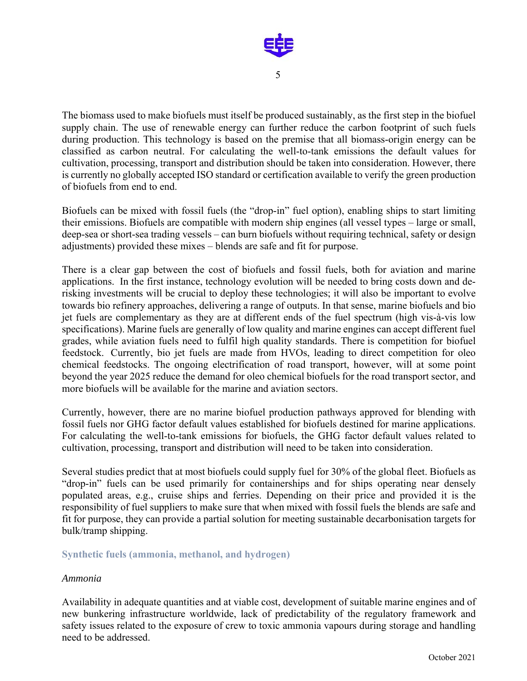

The biomass used to make biofuels must itself be produced sustainably, as the first step in the biofuel supply chain. The use of renewable energy can further reduce the carbon footprint of such fuels during production. This technology is based on the premise that all biomass-origin energy can be classified as carbon neutral. For calculating the well-to-tank emissions the default values for cultivation, processing, transport and distribution should be taken into consideration. However, there is currently no globally accepted ISO standard or certification available to verify the green production of biofuels from end to end.

Biofuels can be mixed with fossil fuels (the "drop-in" fuel option), enabling ships to start limiting their emissions. Biofuels are compatible with modern ship engines (all vessel types – large or small, deep-sea or short-sea trading vessels – can burn biofuels without requiring technical, safety or design adjustments) provided these mixes – blends are safe and fit for purpose.

There is a clear gap between the cost of biofuels and fossil fuels, both for aviation and marine applications. In the first instance, technology evolution will be needed to bring costs down and derisking investments will be crucial to deploy these technologies; it will also be important to evolve towards bio refinery approaches, delivering a range of outputs. In that sense, marine biofuels and bio jet fuels are complementary as they are at different ends of the fuel spectrum (high vis-à-vis low specifications). Marine fuels are generally of low quality and marine engines can accept different fuel grades, while aviation fuels need to fulfil high quality standards. There is competition for biofuel feedstock. Currently, bio jet fuels are made from HVOs, leading to direct competition for oleo chemical feedstocks. The ongoing electrification of road transport, however, will at some point beyond the year 2025 reduce the demand for oleo chemical biofuels for the road transport sector, and more biofuels will be available for the marine and aviation sectors.

Currently, however, there are no marine biofuel production pathways approved for blending with fossil fuels nor GHG factor default values established for biofuels destined for marine applications. For calculating the well-to-tank emissions for biofuels, the GHG factor default values related to cultivation, processing, transport and distribution will need to be taken into consideration.

Several studies predict that at most biofuels could supply fuel for 30% of the global fleet. Biofuels as "drop-in" fuels can be used primarily for containerships and for ships operating near densely populated areas, e.g., cruise ships and ferries. Depending on their price and provided it is the responsibility of fuel suppliers to make sure that when mixed with fossil fuels the blends are safe and fit for purpose, they can provide a partial solution for meeting sustainable decarbonisation targets for bulk/tramp shipping.

#### **Synthetic fuels (ammonia, methanol, and hydrogen)**

#### *Ammonia*

Availability in adequate quantities and at viable cost, development of suitable marine engines and of new bunkering infrastructure worldwide, lack of predictability of the regulatory framework and safety issues related to the exposure of crew to toxic ammonia vapours during storage and handling need to be addressed.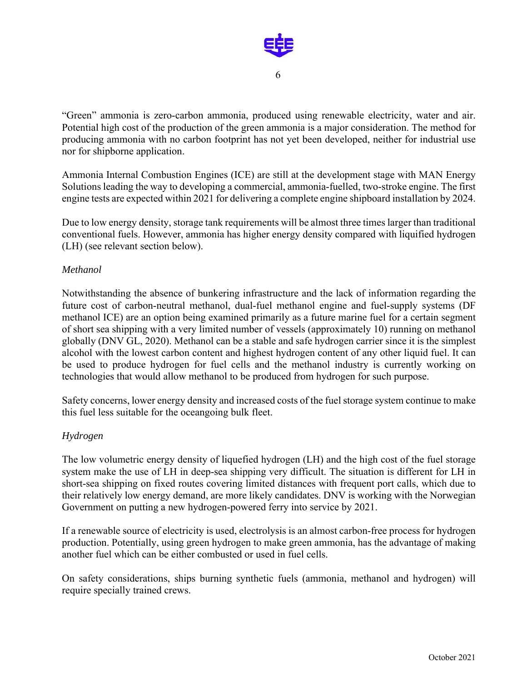

"Green" ammonia is zero-carbon ammonia, produced using renewable electricity, water and air. Potential high cost of the production of the green ammonia is a major consideration. The method for producing ammonia with no carbon footprint has not yet been developed, neither for industrial use nor for shipborne application.

Ammonia Internal Combustion Engines (ICE) are still at the development stage with MAN Energy Solutions leading the way to developing a commercial, ammonia-fuelled, two-stroke engine. The first engine tests are expected within 2021 for delivering a complete engine shipboard installation by 2024.

Due to low energy density, storage tank requirements will be almost three times larger than traditional conventional fuels. However, ammonia has higher energy density compared with liquified hydrogen (LH) (see relevant section below).

## *Methanol*

Notwithstanding the absence of bunkering infrastructure and the lack of information regarding the future cost of carbon-neutral methanol, dual-fuel methanol engine and fuel-supply systems (DF methanol ICE) are an option being examined primarily as a future marine fuel for a certain segment of short sea shipping with a very limited number of vessels (approximately 10) running on methanol globally (DNV GL, 2020). Methanol can be a stable and safe hydrogen carrier since it is the simplest alcohol with the lowest carbon content and highest hydrogen content of any other liquid fuel. It can be used to produce hydrogen for fuel cells and the methanol industry is currently working on technologies that would allow methanol to be produced from hydrogen for such purpose.

Safety concerns, lower energy density and increased costs of the fuel storage system continue to make this fuel less suitable for the oceangoing bulk fleet.

#### *Hydrogen*

The low volumetric energy density of liquefied hydrogen (LH) and the high cost of the fuel storage system make the use of LH in deep-sea shipping very difficult. The situation is different for LH in short-sea shipping on fixed routes covering limited distances with frequent port calls, which due to their relatively low energy demand, are more likely candidates. DNV is working with the Norwegian Government on putting a new hydrogen-powered ferry into service by 2021.

If a renewable source of electricity is used, electrolysis is an almost carbon-free process for hydrogen production. Potentially, using green hydrogen to make green ammonia, has the advantage of making another fuel which can be either combusted or used in fuel cells.

On safety considerations, ships burning synthetic fuels (ammonia, methanol and hydrogen) will require specially trained crews.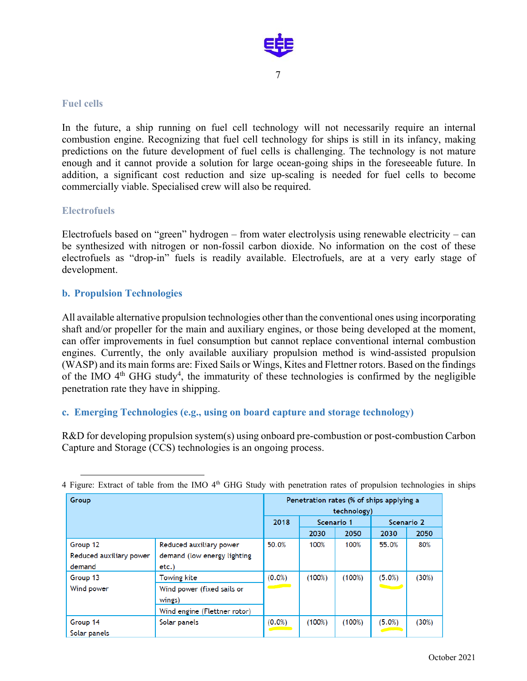

#### **Fuel cells**

In the future, a ship running on fuel cell technology will not necessarily require an internal combustion engine. Recognizing that fuel cell technology for ships is still in its infancy, making predictions on the future development of fuel cells is challenging. The technology is not mature enough and it cannot provide a solution for large ocean-going ships in the foreseeable future. In addition, a significant cost reduction and size up-scaling is needed for fuel cells to become commercially viable. Specialised crew will also be required.

#### **Electrofuels**

Electrofuels based on "green" hydrogen – from water electrolysis using renewable electricity – can be synthesized with nitrogen or non-fossil carbon dioxide. No information on the cost of these electrofuels as "drop-in" fuels is readily available. Electrofuels, are at a very early stage of development.

## **b. Propulsion Technologies**

All available alternative propulsion technologies other than the conventional ones using incorporating shaft and/or propeller for the main and auxiliary engines, or those being developed at the moment, can offer improvements in fuel consumption but cannot replace conventional internal combustion engines. Currently, the only available auxiliary propulsion method is wind-assisted propulsion (WASP) and its main forms are: Fixed Sails or Wings, Kites and Flettner rotors. Based on the findings of the IMO  $4<sup>th</sup>$  GHG study<sup>4</sup>, the immaturity of these technologies is confirmed by the negligible penetration rate they have in shipping.

#### **c. Emerging Technologies (e.g., using on board capture and storage technology)**

R&D for developing propulsion system(s) using onboard pre-combustion or post-combustion Carbon Capture and Storage (CCS) technologies is an ongoing process.

| Group                   |                              | Penetration rates (% of ships applying a<br>technology) |            |        |                      |       |
|-------------------------|------------------------------|---------------------------------------------------------|------------|--------|----------------------|-------|
|                         |                              | 2018                                                    | Scenario 1 |        | Scenario 2           |       |
|                         |                              |                                                         | 2030       | 2050   | 2030                 | 2050  |
| Group 12                | Reduced auxiliary power      | 50.0%                                                   | 100%       | 100%   | 55.0%                | 80%   |
| Reduced auxiliary power | demand (low energy lighting  |                                                         |            |        |                      |       |
| demand                  | $etc.$ )                     |                                                         |            |        |                      |       |
| Group 13                | Towing kite                  | $(0.0\%)$                                               | (100%)     | (100%) | $(5.0\%)$            | (30%) |
| Wind power              | Wind power (fixed sails or   | <b>Contract Contract</b>                                |            |        | <b>All Contracts</b> |       |
|                         | wings)                       |                                                         |            |        |                      |       |
|                         | Wind engine (Flettner rotor) |                                                         |            |        |                      |       |
| Group 14                | Solar panels                 | $(0.0\%)$                                               | (100%)     | (100%) | $(5.0\%)$            | (30%) |
| Solar panels            |                              |                                                         |            |        |                      |       |

4 Figure: Extract of table from the IMO 4<sup>th</sup> GHG Study with penetration rates of propulsion technologies in ships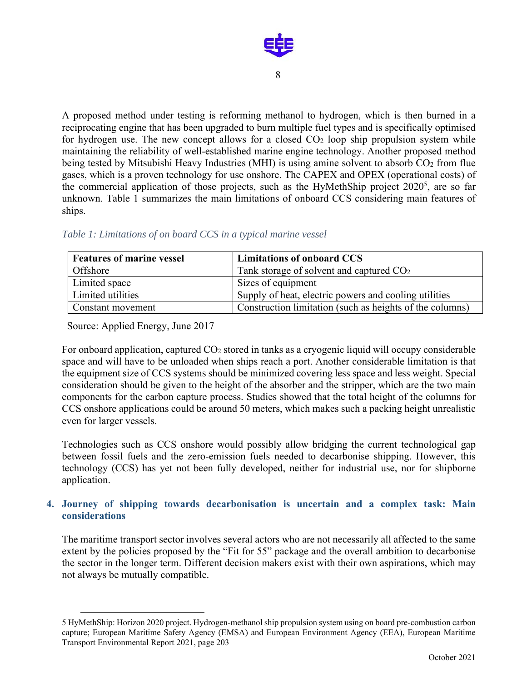

A proposed method under testing is reforming methanol to hydrogen, which is then burned in a reciprocating engine that has been upgraded to burn multiple fuel types and is specifically optimised for hydrogen use. The new concept allows for a closed  $CO<sub>2</sub>$  loop ship propulsion system while maintaining the reliability of well-established marine engine technology. Another proposed method being tested by Mitsubishi Heavy Industries (MHI) is using amine solvent to absorb CO<sub>2</sub> from flue gases, which is a proven technology for use onshore. The CAPEX and OPEX (operational costs) of the commercial application of those projects, such as the HyMethShip project  $2020^5$ , are so far unknown. Table 1 summarizes the main limitations of onboard CCS considering main features of ships.

| <b>Features of marine vessel</b> | Limitations of onboard CCS                               |
|----------------------------------|----------------------------------------------------------|
| Offshore                         | Tank storage of solvent and captured CO <sub>2</sub>     |
| Limited space                    | Sizes of equipment                                       |
| Limited utilities                | Supply of heat, electric powers and cooling utilities    |
| Constant movement                | Construction limitation (such as heights of the columns) |

#### *Table 1: Limitations of on board CCS in a typical marine vessel*

Source: Applied Energy, June 2017

For onboard application, captured CO<sub>2</sub> stored in tanks as a cryogenic liquid will occupy considerable space and will have to be unloaded when ships reach a port. Another considerable limitation is that the equipment size of CCS systems should be minimized covering less space and less weight. Special consideration should be given to the height of the absorber and the stripper, which are the two main components for the carbon capture process. Studies showed that the total height of the columns for CCS onshore applications could be around 50 meters, which makes such a packing height unrealistic even for larger vessels.

Technologies such as CCS onshore would possibly allow bridging the current technological gap between fossil fuels and the zero-emission fuels needed to decarbonise shipping. However, this technology (CCS) has yet not been fully developed, neither for industrial use, nor for shipborne application.

## **4. Journey of shipping towards decarbonisation is uncertain and a complex task: Main considerations**

The maritime transport sector involves several actors who are not necessarily all affected to the same extent by the policies proposed by the "Fit for 55" package and the overall ambition to decarbonise the sector in the longer term. Different decision makers exist with their own aspirations, which may not always be mutually compatible.

<sup>5</sup> HyMethShip: Horizon 2020 project. Hydrogen-methanol ship propulsion system using on board pre-combustion carbon capture; European Maritime Safety Agency (EMSA) and European Environment Agency (EEA), European Maritime Transport Environmental Report 2021, page 203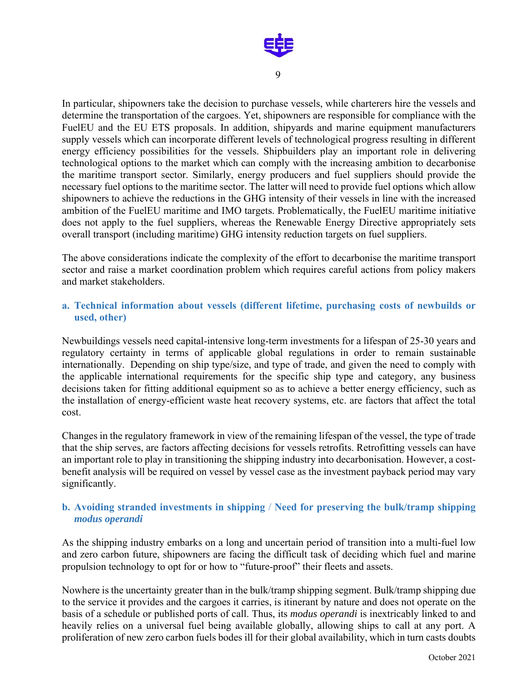

In particular, shipowners take the decision to purchase vessels, while charterers hire the vessels and determine the transportation of the cargoes. Yet, shipowners are responsible for compliance with the FuelEU and the EU ETS proposals. In addition, shipyards and marine equipment manufacturers supply vessels which can incorporate different levels of technological progress resulting in different energy efficiency possibilities for the vessels. Shipbuilders play an important role in delivering technological options to the market which can comply with the increasing ambition to decarbonise the maritime transport sector. Similarly, energy producers and fuel suppliers should provide the necessary fuel options to the maritime sector. The latter will need to provide fuel options which allow shipowners to achieve the reductions in the GHG intensity of their vessels in line with the increased ambition of the FuelEU maritime and IMO targets. Problematically, the FuelEU maritime initiative does not apply to the fuel suppliers, whereas the Renewable Energy Directive appropriately sets overall transport (including maritime) GHG intensity reduction targets on fuel suppliers.

The above considerations indicate the complexity of the effort to decarbonise the maritime transport sector and raise a market coordination problem which requires careful actions from policy makers and market stakeholders.

## **a. Technical information about vessels (different lifetime, purchasing costs of newbuilds or used, other)**

Newbuildings vessels need capital-intensive long-term investments for a lifespan of 25-30 years and regulatory certainty in terms of applicable global regulations in order to remain sustainable internationally. Depending on ship type/size, and type of trade, and given the need to comply with the applicable international requirements for the specific ship type and category, any business decisions taken for fitting additional equipment so as to achieve a better energy efficiency, such as the installation of energy-efficient waste heat recovery systems, etc. are factors that affect the total cost.

Changes in the regulatory framework in view of the remaining lifespan of the vessel, the type of trade that the ship serves, are factors affecting decisions for vessels retrofits. Retrofitting vessels can have an important role to play in transitioning the shipping industry into decarbonisation. However, a costbenefit analysis will be required on vessel by vessel case as the investment payback period may vary significantly.

## **b. Avoiding stranded investments in shipping** / **Need for preserving the bulk/tramp shipping**  *modus operandi*

As the shipping industry embarks on a long and uncertain period of transition into a multi-fuel low and zero carbon future, shipowners are facing the difficult task of deciding which fuel and marine propulsion technology to opt for or how to "future-proof" their fleets and assets.

Nowhere is the uncertainty greater than in the bulk/tramp shipping segment. Bulk/tramp shipping due to the service it provides and the cargoes it carries, is itinerant by nature and does not operate on the basis of a schedule or published ports of call. Thus, its *modus operandi* is inextricably linked to and heavily relies on a universal fuel being available globally, allowing ships to call at any port. A proliferation of new zero carbon fuels bodes ill for their global availability, which in turn casts doubts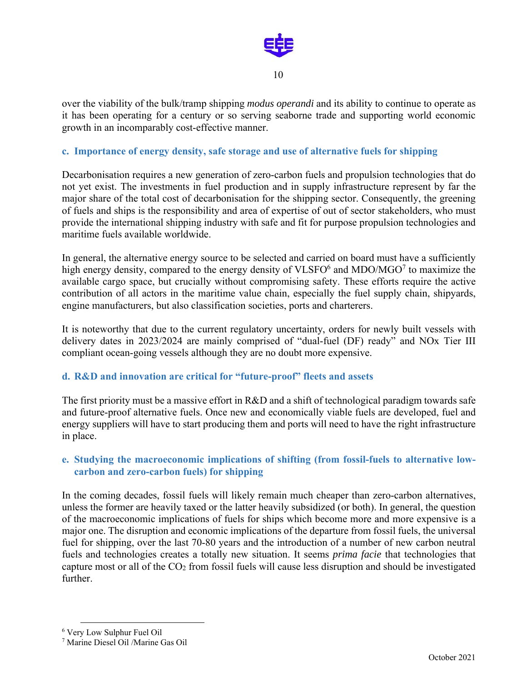

over the viability of the bulk/tramp shipping *modus operandi* and its ability to continue to operate as it has been operating for a century or so serving seaborne trade and supporting world economic growth in an incomparably cost-effective manner.

#### **c. Importance of energy density, safe storage and use of alternative fuels for shipping**

Decarbonisation requires a new generation of zero-carbon fuels and propulsion technologies that do not yet exist. The investments in fuel production and in supply infrastructure represent by far the major share of the total cost of decarbonisation for the shipping sector. Consequently, the greening of fuels and ships is the responsibility and area of expertise of out of sector stakeholders, who must provide the international shipping industry with safe and fit for purpose propulsion technologies and maritime fuels available worldwide.

In general, the alternative energy source to be selected and carried on board must have a sufficiently high energy density, compared to the energy density of VLSFO $^6$  and MDO/MGO<sup>7</sup> to maximize the available cargo space, but crucially without compromising safety. These efforts require the active contribution of all actors in the maritime value chain, especially the fuel supply chain, shipyards, engine manufacturers, but also classification societies, ports and charterers.

It is noteworthy that due to the current regulatory uncertainty, orders for newly built vessels with delivery dates in 2023/2024 are mainly comprised of "dual-fuel (DF) ready" and NOx Tier III compliant ocean-going vessels although they are no doubt more expensive.

#### **d. R&D and innovation are critical for "future-proof" fleets and assets**

The first priority must be a massive effort in R&D and a shift of technological paradigm towards safe and future-proof alternative fuels. Once new and economically viable fuels are developed, fuel and energy suppliers will have to start producing them and ports will need to have the right infrastructure in place.

## **e. Studying the macroeconomic implications of shifting (from fossil-fuels to alternative lowcarbon and zero-carbon fuels) for shipping**

In the coming decades, fossil fuels will likely remain much cheaper than zero-carbon alternatives, unless the former are heavily taxed or the latter heavily subsidized (or both). In general, the question of the macroeconomic implications of fuels for ships which become more and more expensive is a major one. The disruption and economic implications of the departure from fossil fuels, the universal fuel for shipping, over the last 70-80 years and the introduction of a number of new carbon neutral fuels and technologies creates a totally new situation. It seems *prima facie* that technologies that capture most or all of the CO2 from fossil fuels will cause less disruption and should be investigated further.

<sup>6</sup> Very Low Sulphur Fuel Oil

<sup>7</sup> Marine Diesel Oil /Marine Gas Oil